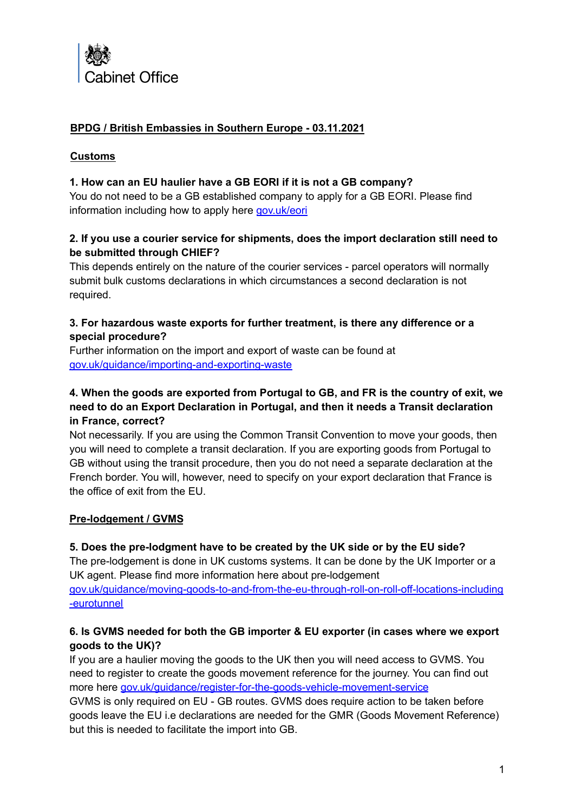

# **BPDG / British Embassies in Southern Europe - 03.11.2021**

#### **Customs**

#### **1. How can an EU haulier have a GB EORI if it is not a GB company?**

You do not need to be a GB established company to apply for a GB EORI. Please find information including how to apply here [gov.uk/eori](https://www.gov.uk/eori)

#### **2. If you use a courier service for shipments, does the import declaration still need to be submitted through CHIEF?**

This depends entirely on the nature of the courier services - parcel operators will normally submit bulk customs declarations in which circumstances a second declaration is not required.

#### **3. For hazardous waste exports for further treatment, is there any difference or a special procedure?**

Further information on the import and export of waste can be found at [gov.uk/guidance/importing-and-exporting-waste](http://gov.uk/guidance/importing-and-exporting-waste)

# **4. When the goods are exported from Portugal to GB, and FR is the country of exit, we need to do an Export Declaration in Portugal, and then it needs a Transit declaration in France, correct?**

Not necessarily. If you are using the Common Transit Convention to move your goods, then you will need to complete a transit declaration. If you are exporting goods from Portugal to GB without using the transit procedure, then you do not need a separate declaration at the French border. You will, however, need to specify on your export declaration that France is the office of exit from the EU.

## **Pre-lodgement / GVMS**

## **5. Does the pre-lodgment have to be created by the UK side or by the EU side?**

The pre-lodgement is done in UK customs systems. It can be done by the UK Importer or a UK agent. Please find more information here about pre-lodgement [gov.uk/guidance/moving-goods-to-and-from-the-eu-through-roll-on-roll-off-locations-including](https://www.gov.uk/guidance/moving-goods-to-and-from-the-eu-through-roll-on-roll-off-locations-including-eurotunnel) [-eurotunnel](https://www.gov.uk/guidance/moving-goods-to-and-from-the-eu-through-roll-on-roll-off-locations-including-eurotunnel)

## **6. Is GVMS needed for both the GB importer & EU exporter (in cases where we export goods to the UK)?**

If you are a haulier moving the goods to the UK then you will need access to GVMS. You need to register to create the goods movement reference for the journey. You can find out more here [gov.uk/guidance/register-for-the-goods-vehicle-movement-service](https://www.gov.uk/guidance/register-for-the-goods-vehicle-movement-service)

GVMS is only required on EU - GB routes. GVMS does require action to be taken before goods leave the EU i.e declarations are needed for the GMR (Goods Movement Reference) but this is needed to facilitate the import into GB.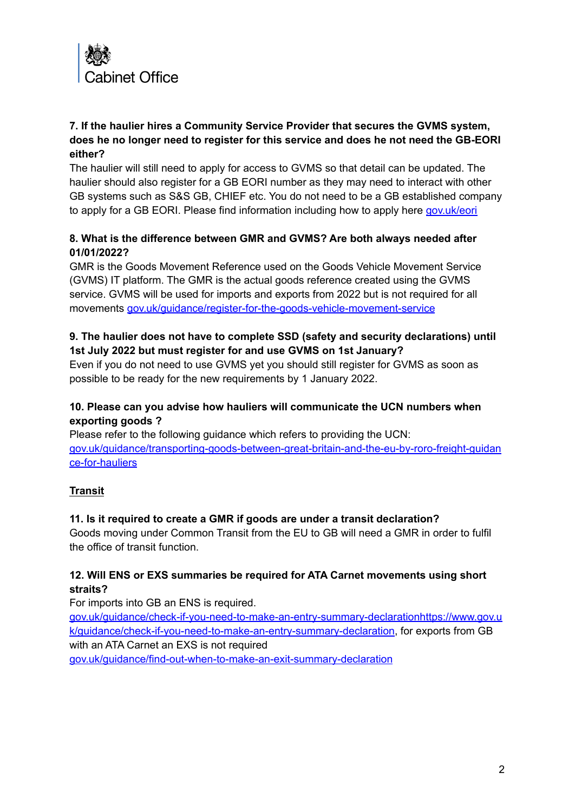

## **7. If the haulier hires a Community Service Provider that secures the GVMS system, does he no longer need to register for this service and does he not need the GB-EORI either?**

The haulier will still need to apply for access to GVMS so that detail can be updated. The haulier should also register for a GB EORI number as they may need to interact with other GB systems such as S&S GB, CHIEF etc. You do not need to be a GB established company to apply for a GB EORI. Please find information including how to apply here [gov.uk/eori](https://www.gov.uk/eori)

## **8. What is the difference between GMR and GVMS? Are both always needed after 01/01/2022?**

GMR is the Goods Movement Reference used on the Goods Vehicle Movement Service (GVMS) IT platform. The GMR is the actual goods reference created using the GVMS service. GVMS will be used for imports and exports from 2022 but is not required for all movements [gov.uk/guidance/register-for-the-goods-vehicle-movement-service](https://www.gov.uk/guidance/register-for-the-goods-vehicle-movement-service)

# **9. The haulier does not have to complete SSD (safety and security declarations) until 1st July 2022 but must register for and use GVMS on 1st January?**

Even if you do not need to use GVMS yet you should still register for GVMS as soon as possible to be ready for the new requirements by 1 January 2022.

## **10. Please can you advise how hauliers will communicate the UCN numbers when exporting goods ?**

Please refer to the following guidance which refers to providing the UCN: gov.uk/guidance/transporting-goods-between-great-britain-and-the-eu-by-roro-freight-guidan ce-for-hauliers

# **Transit**

## **11. Is it required to create a GMR if goods are under a transit declaration?**

Goods moving under Common Transit from the EU to GB will need a GMR in order to fulfil the office of transit function.

## **12. Will ENS or EXS summaries be required for ATA Carnet movements using short straits?**

For imports into GB an ENS is required.

[gov.uk/guidance/check-if-you-need-to-make-an-entry-summary-declarationhttps://www.gov.u](https://www.gov.uk/guidance/check-if-you-need-to-make-an-entry-summary-declarationhttps://www.gov.uk/guidance/check-if-you-need-to-make-an-entry-summary-declaration) [k/guidance/check-if-you-need-to-make-an-entry-summary-declaration](https://www.gov.uk/guidance/check-if-you-need-to-make-an-entry-summary-declarationhttps://www.gov.uk/guidance/check-if-you-need-to-make-an-entry-summary-declaration), for exports from GB with an ATA Carnet an EXS is not required [gov.uk/guidance/find-out-when-to-make-an-exit-summary-declaration](https://www.gov.uk/guidance/find-out-when-to-make-an-exit-summary-declaration)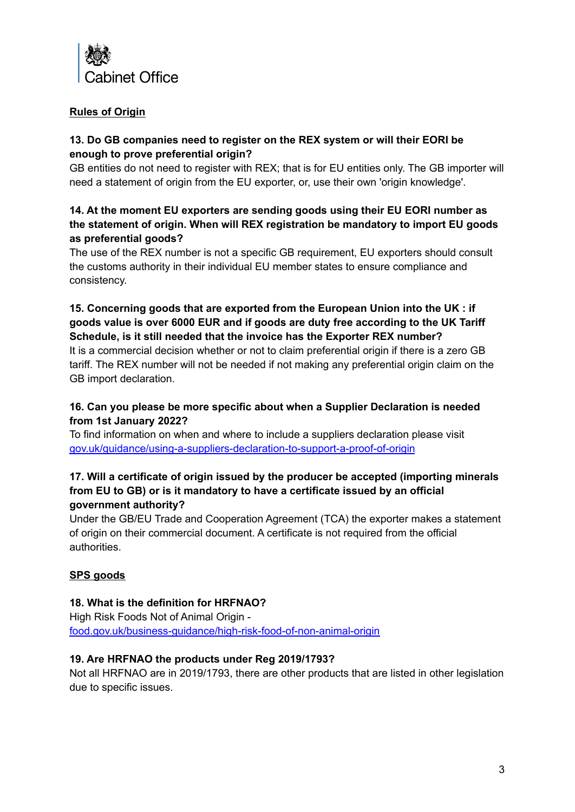

# **Rules of Origin**

## **13. Do GB companies need to register on the REX system or will their EORI be enough to prove preferential origin?**

GB entities do not need to register with REX; that is for EU entities only. The GB importer will need a statement of origin from the EU exporter, or, use their own 'origin knowledge'.

# **14. At the moment EU exporters are sending goods using their EU EORI number as the statement of origin. When will REX registration be mandatory to import EU goods as preferential goods?**

The use of the REX number is not a specific GB requirement, EU exporters should consult the customs authority in their individual EU member states to ensure compliance and consistency.

## **15. Concerning goods that are exported from the European Union into the UK : if goods value is over 6000 EUR and if goods are duty free according to the UK Tariff Schedule, is it still needed that the invoice has the Exporter REX number?**

It is a commercial decision whether or not to claim preferential origin if there is a zero GB tariff. The REX number will not be needed if not making any preferential origin claim on the GB import declaration.

# **16. Can you please be more specific about when a Supplier Declaration is needed from 1st January 2022?**

To find information on when and where to include a suppliers declaration please visit [gov.uk/guidance/using-a-suppliers-declaration-to-support-a-proof-of-origin](https://www.gov.uk/guidance/using-a-suppliers-declaration-to-support-a-proof-of-origin)

# **17. Will a certificate of origin issued by the producer be accepted (importing minerals from EU to GB) or is it mandatory to have a certificate issued by an official government authority?**

Under the GB/EU Trade and Cooperation Agreement (TCA) the exporter makes a statement of origin on their commercial document. A certificate is not required from the official authorities.

# **SPS goods**

## **18. What is the definition for HRFNAO?**

High Risk Foods Not of Animal Origin [food.gov.uk/business-guidance/high-risk-food-of-non-animal-origin](https://www.food.gov.uk/business-guidance/high-risk-food-of-non-animal-origin)

## **19. Are HRFNAO the products under Reg 2019/1793?**

Not all HRFNAO are in 2019/1793, there are other products that are listed in other legislation due to specific issues.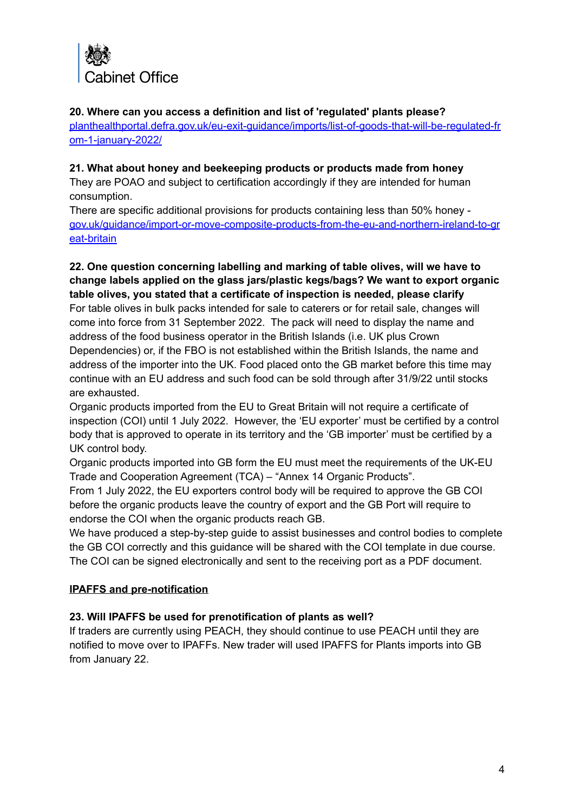

#### **20. Where can you access a definition and list of 'regulated' plants please?**

[planthealthportal.defra.gov.uk/eu-exit-guidance/imports/list-of-goods-that-will-be-regulated-fr](https://planthealthportal.defra.gov.uk/eu-exit-guidance/imports/list-of-goods-that-will-be-regulated-from-1-january-2022/) [om-1-january-2022/](https://planthealthportal.defra.gov.uk/eu-exit-guidance/imports/list-of-goods-that-will-be-regulated-from-1-january-2022/)

#### **21. What about honey and beekeeping products or products made from honey**

They are POAO and subject to certification accordingly if they are intended for human consumption.

There are specific additional provisions for products containing less than 50% honey [gov.uk/guidance/import-or-move-composite-products-from-the-eu-and-northern-ireland-to-gr](https://www.gov.uk/guidance/import-or-move-composite-products-from-the-eu-and-northern-ireland-to-great-britain) [eat-britain](https://www.gov.uk/guidance/import-or-move-composite-products-from-the-eu-and-northern-ireland-to-great-britain)

**22. One question concerning labelling and marking of table olives, will we have to change labels applied on the glass jars/plastic kegs/bags? We want to export organic table olives, you stated that a certificate of inspection is needed, please clarify** For table olives in bulk packs intended for sale to caterers or for retail sale, changes will come into force from 31 September 2022. The pack will need to display the name and address of the food business operator in the British Islands (i.e. UK plus Crown Dependencies) or, if the FBO is not established within the British Islands, the name and address of the importer into the UK. Food placed onto the GB market before this time may

continue with an EU address and such food can be sold through after 31/9/22 until stocks are exhausted.

Organic products imported from the EU to Great Britain will not require a certificate of inspection (COI) until 1 July 2022. However, the 'EU exporter' must be certified by a control body that is approved to operate in its territory and the 'GB importer' must be certified by a UK control body.

Organic products imported into GB form the EU must meet the requirements of the UK-EU Trade and Cooperation Agreement (TCA) – "Annex 14 Organic Products".

From 1 July 2022, the EU exporters control body will be required to approve the GB COI before the organic products leave the country of export and the GB Port will require to endorse the COI when the organic products reach GB.

We have produced a step-by-step guide to assist businesses and control bodies to complete the GB COI correctly and this guidance will be shared with the COI template in due course. The COI can be signed electronically and sent to the receiving port as a PDF document.

## **IPAFFS and pre-notification**

## **23. Will IPAFFS be used for prenotification of plants as well?**

If traders are currently using PEACH, they should continue to use PEACH until they are notified to move over to IPAFFs. New trader will used IPAFFS for Plants imports into GB from January 22.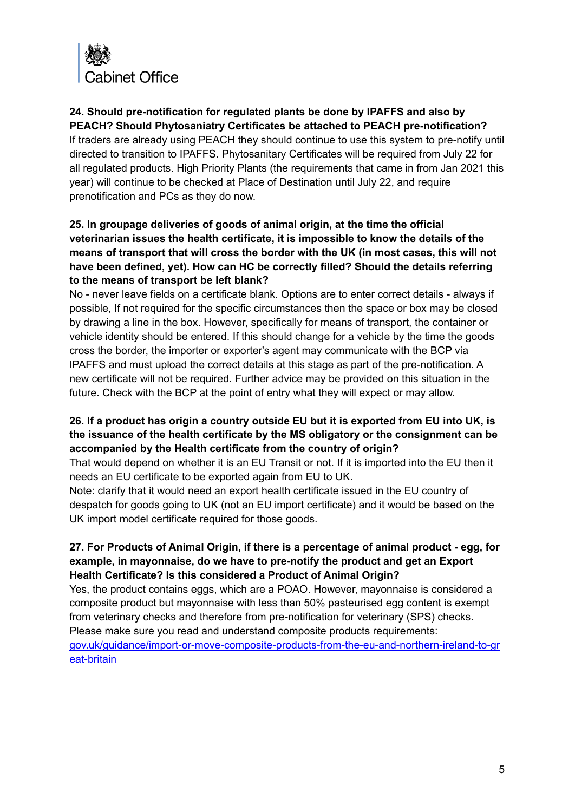

**24. Should pre-notification for regulated plants be done by IPAFFS and also by PEACH? Should Phytosaniatry Certificates be attached to PEACH pre-notification?** If traders are already using PEACH they should continue to use this system to pre-notify until directed to transition to IPAFFS. Phytosanitary Certificates will be required from July 22 for all regulated products. High Priority Plants (the requirements that came in from Jan 2021 this year) will continue to be checked at Place of Destination until July 22, and require prenotification and PCs as they do now.

# **25. In groupage deliveries of goods of animal origin, at the time the official veterinarian issues the health certificate, it is impossible to know the details of the means of transport that will cross the border with the UK (in most cases, this will not have been defined, yet). How can HC be correctly filled? Should the details referring to the means of transport be left blank?**

No - never leave fields on a certificate blank. Options are to enter correct details - always if possible, If not required for the specific circumstances then the space or box may be closed by drawing a line in the box. However, specifically for means of transport, the container or vehicle identity should be entered. If this should change for a vehicle by the time the goods cross the border, the importer or exporter's agent may communicate with the BCP via IPAFFS and must upload the correct details at this stage as part of the pre-notification. A new certificate will not be required. Further advice may be provided on this situation in the future. Check with the BCP at the point of entry what they will expect or may allow.

# **26. If a product has origin a country outside EU but it is exported from EU into UK, is the issuance of the health certificate by the MS obligatory or the consignment can be accompanied by the Health certificate from the country of origin?**

That would depend on whether it is an EU Transit or not. If it is imported into the EU then it needs an EU certificate to be exported again from EU to UK.

Note: clarify that it would need an export health certificate issued in the EU country of despatch for goods going to UK (not an EU import certificate) and it would be based on the UK import model certificate required for those goods.

# **27. For Products of Animal Origin, if there is a percentage of animal product - egg, for example, in mayonnaise, do we have to pre-notify the product and get an Export Health Certificate? Is this considered a Product of Animal Origin?**

Yes, the product contains eggs, which are a POAO. However, mayonnaise is considered a composite product but mayonnaise with less than 50% pasteurised egg content is exempt from veterinary checks and therefore from pre-notification for veterinary (SPS) checks. Please make sure you read and understand composite products requirements: [gov.uk/guidance/import-or-move-composite-products-from-the-eu-and-northern-ireland-to-gr](https://www.gov.uk/guidance/import-or-move-composite-products-from-the-eu-and-northern-ireland-to-great-britain) [eat-britain](https://www.gov.uk/guidance/import-or-move-composite-products-from-the-eu-and-northern-ireland-to-great-britain)